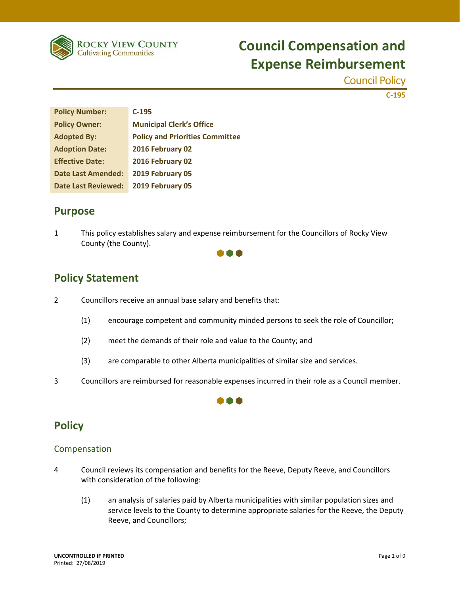

Council Policy

 **C‐195**

| <b>Policy Number:</b>      | $C-195$                                |
|----------------------------|----------------------------------------|
| <b>Policy Owner:</b>       | <b>Municipal Clerk's Office</b>        |
| <b>Adopted By:</b>         | <b>Policy and Priorities Committee</b> |
| <b>Adoption Date:</b>      | 2016 February 02                       |
| <b>Effective Date:</b>     | 2016 February 02                       |
| <b>Date Last Amended:</b>  | 2019 February 05                       |
| <b>Date Last Reviewed:</b> | 2019 February 05                       |

### **Purpose**

1 This policy establishes salary and expense reimbursement for the Councillors of Rocky View County (the County).



## **Policy Statement**

- 2 Councillors receive an annual base salary and benefits that:
	- (1) encourage competent and community minded persons to seek the role of Councillor;
	- (2) meet the demands of their role and value to the County; and
	- (3) are comparable to other Alberta municipalities of similar size and services.
- 3 Councillors are reimbursed for reasonable expenses incurred in their role as a Council member.



## **Policy**

### Compensation

- 4 Council reviews its compensation and benefits for the Reeve, Deputy Reeve, and Councillors with consideration of the following:
	- (1) an analysis of salaries paid by Alberta municipalities with similar population sizes and service levels to the County to determine appropriate salaries for the Reeve, the Deputy Reeve, and Councillors;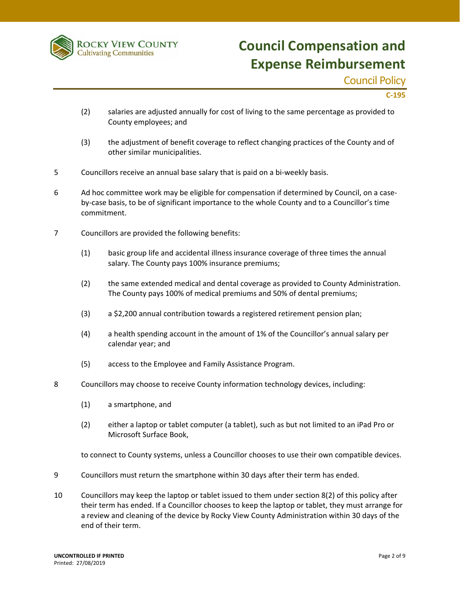

### Council Policy

 **C‐195**

- (2) salaries are adjusted annually for cost of living to the same percentage as provided to County employees; and
- (3) the adjustment of benefit coverage to reflect changing practices of the County and of other similar municipalities.
- 5 Councillors receive an annual base salary that is paid on a bi-weekly basis.
- 6 Ad hoc committee work may be eligible for compensation if determined by Council, on a case‐ by-case basis, to be of significant importance to the whole County and to a Councillor's time commitment.
- 7 Councillors are provided the following benefits:
	- (1) basic group life and accidental illness insurance coverage of three times the annual salary. The County pays 100% insurance premiums;
	- (2) the same extended medical and dental coverage as provided to County Administration. The County pays 100% of medical premiums and 50% of dental premiums;
	- (3) a \$2,200 annual contribution towards a registered retirement pension plan;
	- (4) a health spending account in the amount of 1% of the Councillor's annual salary per calendar year; and
	- (5) access to the Employee and Family Assistance Program.
- 8 Councillors may choose to receive County information technology devices, including:
	- (1) a smartphone, and
	- (2) either a laptop or tablet computer (a tablet), such as but not limited to an iPad Pro or Microsoft Surface Book,

to connect to County systems, unless a Councillor chooses to use their own compatible devices.

- 9 Councillors must return the smartphone within 30 days after their term has ended.
- 10 Councillors may keep the laptop or tablet issued to them under section 8(2) of this policy after their term has ended. If a Councillor chooses to keep the laptop or tablet, they must arrange for a review and cleaning of the device by Rocky View County Administration within 30 days of the end of their term.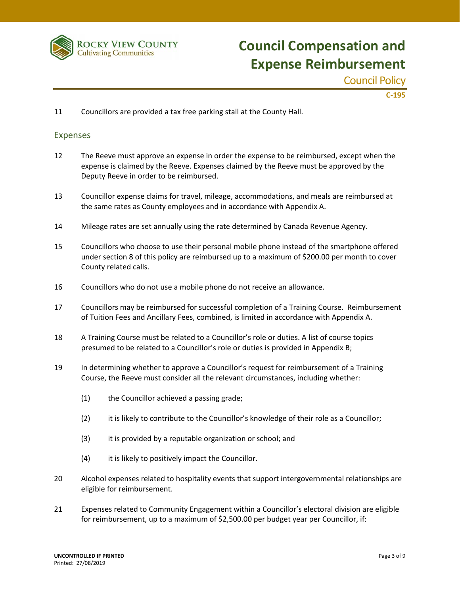

Council Policy

 **C‐195**

11 Councillors are provided a tax free parking stall at the County Hall.

#### Expenses

- 12 The Reeve must approve an expense in order the expense to be reimbursed, except when the expense is claimed by the Reeve. Expenses claimed by the Reeve must be approved by the Deputy Reeve in order to be reimbursed.
- 13 Councillor expense claims for travel, mileage, accommodations, and meals are reimbursed at the same rates as County employees and in accordance with Appendix A.
- 14 Mileage rates are set annually using the rate determined by Canada Revenue Agency.
- 15 Councillors who choose to use their personal mobile phone instead of the smartphone offered under section 8 of this policy are reimbursed up to a maximum of \$200.00 per month to cover County related calls.
- 16 Councillors who do not use a mobile phone do not receive an allowance.
- 17 Councillors may be reimbursed for successful completion of a Training Course. Reimbursement of Tuition Fees and Ancillary Fees, combined, is limited in accordance with Appendix A.
- 18 A Training Course must be related to a Councillor's role or duties. A list of course topics presumed to be related to a Councillor's role or duties is provided in Appendix B;
- 19 In determining whether to approve a Councillor's request for reimbursement of a Training Course, the Reeve must consider all the relevant circumstances, including whether:
	- (1) the Councillor achieved a passing grade;
	- (2) it is likely to contribute to the Councillor's knowledge of their role as a Councillor;
	- (3) it is provided by a reputable organization or school; and
	- (4) it is likely to positively impact the Councillor.
- 20 Alcohol expenses related to hospitality events that support intergovernmental relationships are eligible for reimbursement.
- 21 Expenses related to Community Engagement within a Councillor's electoral division are eligible for reimbursement, up to a maximum of \$2,500.00 per budget year per Councillor, if: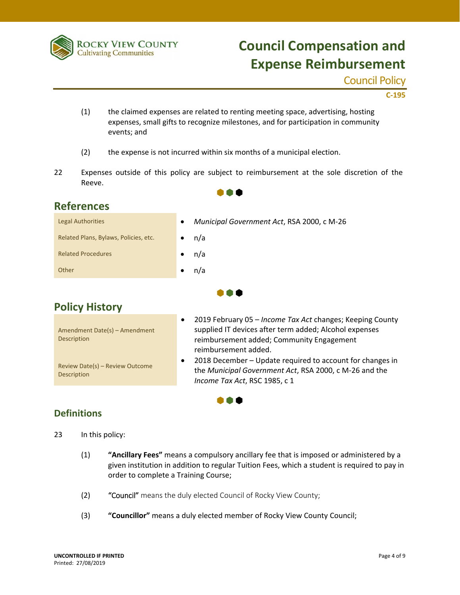

### Council Policy

 **C‐195**

- (1) the claimed expenses are related to renting meeting space, advertising, hosting expenses, small gifts to recognize milestones, and for participation in community events; and
- (2) the expense is not incurred within six months of a municipal election.
- 22 Expenses outside of this policy are subject to reimbursement at the sole discretion of the Reeve.

 $\bullet \bullet \bullet$ 

### **References**

| <b>Legal Authorities</b>              | $\bullet$ | Municipal Government Act, RSA 2000, c M-26 |
|---------------------------------------|-----------|--------------------------------------------|
| Related Plans, Bylaws, Policies, etc. |           | n/a                                        |
| <b>Related Procedures</b>             |           | n/a                                        |
| Other                                 |           | n/a                                        |
|                                       |           |                                            |

## **Policy History**

|                                                       | $\bullet$ | 2019 February 05 - Income Tax Act changes; Keeping County                                                                                            |
|-------------------------------------------------------|-----------|------------------------------------------------------------------------------------------------------------------------------------------------------|
| Amendment Date(s) - Amendment                         |           | supplied IT devices after term added; Alcohol expenses                                                                                               |
| <b>Description</b>                                    |           | reimbursement added; Community Engagement                                                                                                            |
|                                                       |           | reimbursement added.                                                                                                                                 |
| Review Date(s) - Review Outcome<br><b>Description</b> | $\bullet$ | 2018 December – Update required to account for changes in<br>the Municipal Government Act, RSA 2000, c M-26 and the<br>Income Tax Act, RSC 1985, c 1 |

 $\bullet\bullet\bullet$ 

n a a

### **Definitions**

- 23 In this policy:
	- (1) **"Ancillary Fees"** means a compulsory ancillary fee that is imposed or administered by a given institution in addition to regular Tuition Fees, which a student is required to pay in order to complete a Training Course;
	- (2) "Council" means the duly elected Council of Rocky View County;
	- (3) **"Councillor"** means a duly elected member of Rocky View County Council;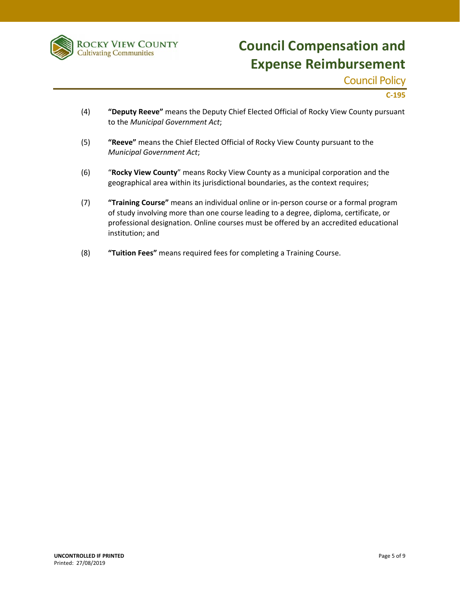

Council Policy

 **C‐195**

- (4) **"Deputy Reeve"** means the Deputy Chief Elected Official of Rocky View County pursuant to the *Municipal Government Act*;
- (5) **"Reeve"** means the Chief Elected Official of Rocky View County pursuant to the *Municipal Government Act*;
- (6) "**Rocky View County**" means Rocky View County as a municipal corporation and the geographical area within its jurisdictional boundaries, as the context requires;
- (7) **"Training Course"** means an individual online or in‐person course or a formal program of study involving more than one course leading to a degree, diploma, certificate, or professional designation. Online courses must be offered by an accredited educational institution; and
- (8) **"Tuition Fees"** means required fees for completing a Training Course.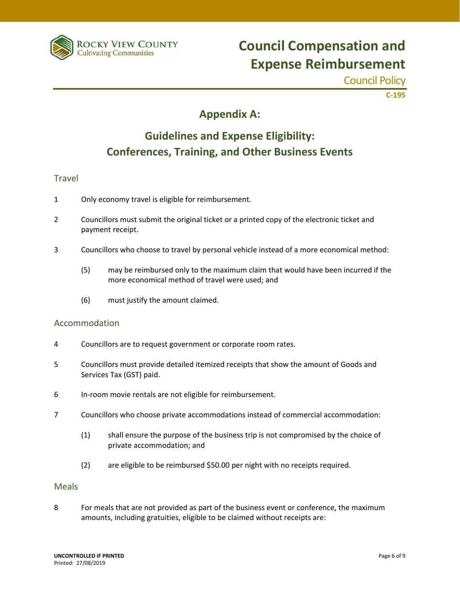

Council Policy

 **C‐195**

## **Appendix A:**

## **Guidelines and Expense Eligibility: Conferences, Training, and Other Business Events**

### Travel

- 1 Only economy travel is eligible for reimbursement.
- 2 Councillors must submit the original ticket or a printed copy of the electronic ticket and payment receipt.
- 3 Councillors who choose to travel by personal vehicle instead of a more economical method:
	- (5) may be reimbursed only to the maximum claim that would have been incurred if the more economical method of travel were used; and
	- (6) must justify the amount claimed.

#### Accommodation

- 4 Councillors are to request government or corporate room rates.
- 5 Councillors must provide detailed itemized receipts that show the amount of Goods and Services Tax (GST) paid.
- 6 In‐room movie rentals are not eligible for reimbursement.
- 7 Councillors who choose private accommodations instead of commercial accommodation:
	- (1) shall ensure the purpose of the business trip is not compromised by the choice of private accommodation; and
	- (2) are eligible to be reimbursed \$50.00 per night with no receipts required.

#### **Meals**

8 For meals that are not provided as part of the business event or conference, the maximum amounts, including gratuities, eligible to be claimed without receipts are: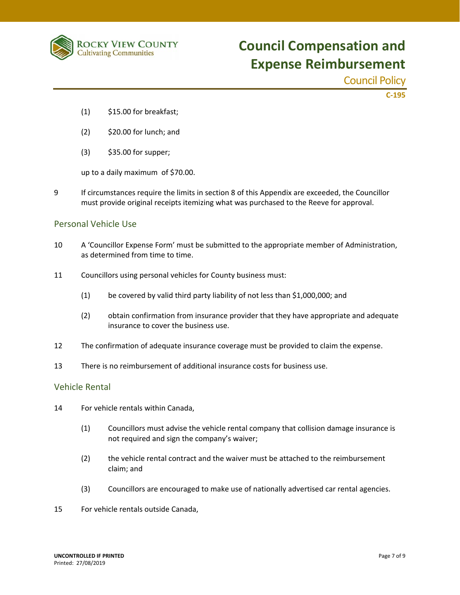

Council Policy

 **C‐195**

- $(1)$  \$15.00 for breakfast;
- (2) \$20.00 for lunch; and
- (3) \$35.00 for supper;

up to a daily maximum of \$70.00.

9 If circumstances require the limits in section 8 of this Appendix are exceeded, the Councillor must provide original receipts itemizing what was purchased to the Reeve for approval.

#### Personal Vehicle Use

- 10 A 'Councillor Expense Form' must be submitted to the appropriate member of Administration, as determined from time to time.
- 11 Councillors using personal vehicles for County business must:
	- (1) be covered by valid third party liability of not less than \$1,000,000; and
	- (2) obtain confirmation from insurance provider that they have appropriate and adequate insurance to cover the business use.
- 12 The confirmation of adequate insurance coverage must be provided to claim the expense.
- 13 There is no reimbursement of additional insurance costs for business use.

#### Vehicle Rental

- 14 For vehicle rentals within Canada,
	- (1) Councillors must advise the vehicle rental company that collision damage insurance is not required and sign the company's waiver;
	- (2) the vehicle rental contract and the waiver must be attached to the reimbursement claim; and
	- (3) Councillors are encouraged to make use of nationally advertised car rental agencies.
- 15 For vehicle rentals outside Canada,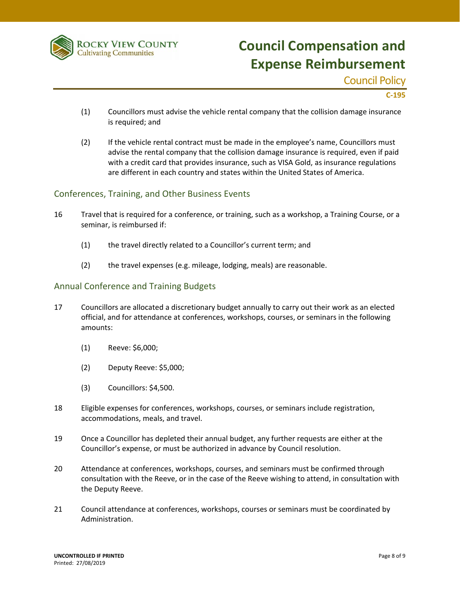

Council Policy

 **C‐195**

- (1) Councillors must advise the vehicle rental company that the collision damage insurance is required; and
- (2) If the vehicle rental contract must be made in the employee's name, Councillors must advise the rental company that the collision damage insurance is required, even if paid with a credit card that provides insurance, such as VISA Gold, as insurance regulations are different in each country and states within the United States of America.

### Conferences, Training, and Other Business Events

- 16 Travel that is required for a conference, or training, such as a workshop, a Training Course, or a seminar, is reimbursed if:
	- (1) the travel directly related to a Councillor's current term; and
	- (2) the travel expenses (e.g. mileage, lodging, meals) are reasonable.

#### Annual Conference and Training Budgets

- 17 Councillors are allocated a discretionary budget annually to carry out their work as an elected official, and for attendance at conferences, workshops, courses, or seminars in the following amounts:
	- (1) Reeve: \$6,000;
	- (2) Deputy Reeve: \$5,000;
	- (3) Councillors: \$4,500.
- 18 Eligible expenses for conferences, workshops, courses, or seminars include registration, accommodations, meals, and travel.
- 19 Once a Councillor has depleted their annual budget, any further requests are either at the Councillor's expense, or must be authorized in advance by Council resolution.
- 20 Attendance at conferences, workshops, courses, and seminars must be confirmed through consultation with the Reeve, or in the case of the Reeve wishing to attend, in consultation with the Deputy Reeve.
- 21 Council attendance at conferences, workshops, courses or seminars must be coordinated by Administration.